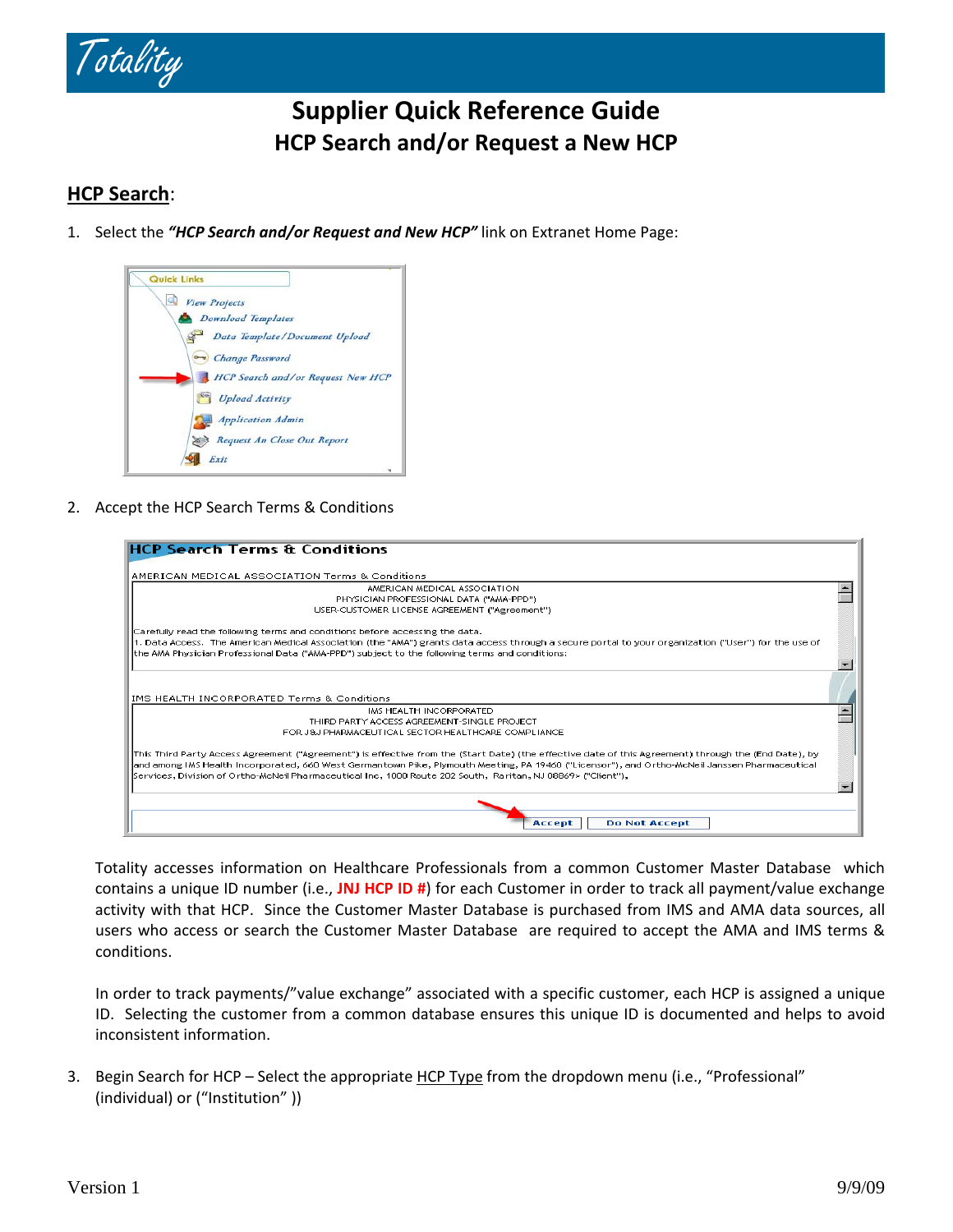

# **Supplier Quick Reference Guide HCP Search and/or Request a New HCP**

# **HCP Search**:

1. Select the *"HCP Search and/or Request and New HCP"* link on Extranet Home Page:



2. Accept the HCP Search Terms & Conditions

| <b>HCP Search Terms &amp; Conditions</b>                                                                                                             |  |
|------------------------------------------------------------------------------------------------------------------------------------------------------|--|
| AMERICAN MEDICAL ASSOCIATION Terms & Conditions                                                                                                      |  |
| AMERICAN MEDICAL ASSOCIATION                                                                                                                         |  |
| PHYSICIAN PROFESSIONAL DATA ("AMA-PPD")                                                                                                              |  |
| USER-CUSTOMER LICENSE AGREEMENT ("Agreement")                                                                                                        |  |
| Carefully read the following terms and conditions before accessing the data.                                                                         |  |
| 11. Data Access,The American Medical Association (the "AMA") grants data access through a secure portal to your organization ("User") for the use of |  |
| the AMA Physician Professional Data ("AMA-PPD") subject to the following terms and conditions:                                                       |  |
|                                                                                                                                                      |  |
|                                                                                                                                                      |  |
|                                                                                                                                                      |  |
| IMS HEALTH INCORPORATED Terms & Conditions                                                                                                           |  |
| IMS HEALTH INCORPORATED                                                                                                                              |  |
| THIRD PARTY ACCESS AGREEMENT-SINGLE PROJECT                                                                                                          |  |
| FOR J&J PHARMACEUTICAL SECTOR HEALTHCARE COMPLIANCE                                                                                                  |  |
| This Third Party Access Agreement ("Agreement") is effective from the (Start Date) (the effective date of this Agreement) through the (End Date), by |  |
| and among IMS Health Incorporated, 660 West Germantown Pike, Plymouth Meeting, PA 19460 ("Licensor"), and Ortho-McNeil Janssen Pharmaceutical        |  |
| [Services, Division of Ortho-McNeil Pharmaceutical Inc., 1000 Route 202 South. Raritan, NJ 08869> ("Client"),                                        |  |
|                                                                                                                                                      |  |
|                                                                                                                                                      |  |
| <b>Do Not Accept</b><br>Accept                                                                                                                       |  |

Totality accesses information on Healthcare Professionals from a common Customer Master Database which contains a unique ID number (i.e., **JNJ HCP ID #**) for each Customer in order to track all payment/value exchange activity with that HCP. Since the Customer Master Database is purchased from IMS and AMA data sources, all users who access or search the Customer Master Database are required to accept the AMA and IMS terms & conditions.

In order to track payments/"value exchange" associated with a specific customer, each HCP is assigned a unique ID. Selecting the customer from a common database ensures this unique ID is documented and helps to avoid inconsistent information.

3. Begin Search for HCP - Select the appropriate HCP Type from the dropdown menu (i.e., "Professional" (individual) or ("Institution" ))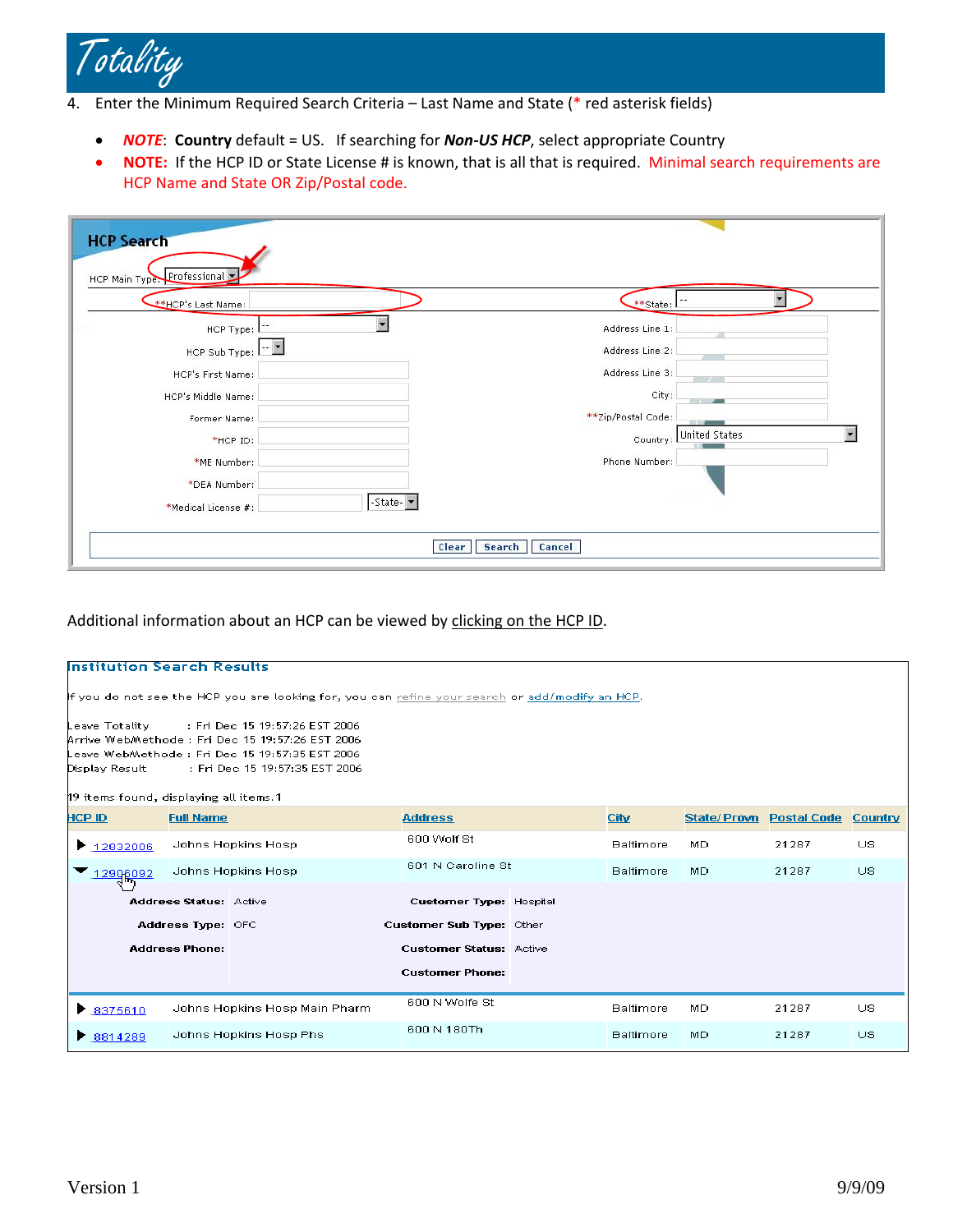

4. Enter the Minimum Required Search Criteria – Last Name and State (\* red asterisk fields)

- *NOTE*: **Country** default = US. If searching for *Non‐US HCP*, select appropriate Country
- **NOTE:** If the HCP ID or State License # is known, that is all that is required. Minimal search requirements are HCP Name and State OR Zip/Postal code.

| <b>HCP Search</b><br>HCP Main Type: Professional                                                                                                                              |                                                                                                                                                       |
|-------------------------------------------------------------------------------------------------------------------------------------------------------------------------------|-------------------------------------------------------------------------------------------------------------------------------------------------------|
| **HCP's Last Name:                                                                                                                                                            | **State:                                                                                                                                              |
| $-$<br>HCP Type: L<br>HCP Sub Type: $\boxed{-2}$<br>HCP's First Name:<br>HCP's Middle Name:<br>Former Name:<br>*HCP ID:<br>*ME Number:<br>*DEA Number:<br>*Medical License #: | Address Line 1:<br>Address Line 2:<br>Address Line 3:<br>City:<br>$-1$<br>**Zip/Postal Code:<br>United States<br>Country:<br>Phone Number:<br>-State- |
|                                                                                                                                                                               | <b>Clear</b><br>Search<br><b>Cancel</b>                                                                                                               |

Additional information about an HCP can be viewed by clicking on the HCP ID.

|                                                                                                 | <b>Institution Search Results</b> |                                                                                                                                                                         |                                |             |                  |             |                    |         |
|-------------------------------------------------------------------------------------------------|-----------------------------------|-------------------------------------------------------------------------------------------------------------------------------------------------------------------------|--------------------------------|-------------|------------------|-------------|--------------------|---------|
|                                                                                                 |                                   |                                                                                                                                                                         |                                |             |                  |             |                    |         |
| If you do not see the HCP you are looking for, you can refine your search or add/modify an HCP. |                                   |                                                                                                                                                                         |                                |             |                  |             |                    |         |
| Leave Totality<br>Display Result<br>19 items found, displaying all items. 1                     |                                   | Fri Dec 15 19:57:26 EST 2006: :<br>Arrive WebMethode: Fri Dec 15 19:57:26 EST 2006<br>Leave WebMethode : Fri Dec 15 19:57:35 EST 2006<br>: Fri Dec 15 19:57:35 EST 2006 |                                |             |                  |             |                    |         |
| HCP ID                                                                                          | <b>Full Name</b>                  |                                                                                                                                                                         | <b>Address</b>                 | <b>City</b> |                  | State/Provn | <b>Postal Code</b> | Country |
| $\blacktriangleright$ 12832006                                                                  |                                   | Johns Hopkins Hosp                                                                                                                                                      | 600 Wolf St                    |             |                  | MD.         | 21287              | US.     |
| 12906092                                                                                        |                                   | Johns Hopkins Hosp                                                                                                                                                      | 601 N Caroline St              |             | <b>Baltimore</b> | MD.         | 21287              | US.     |
|                                                                                                 | <b>Address Status: Active</b>     |                                                                                                                                                                         | <b>Customer Type: Hospital</b> |             |                  |             |                    |         |
|                                                                                                 | Address Type: OFC                 |                                                                                                                                                                         | Customer Sub Type: Other       |             |                  |             |                    |         |
|                                                                                                 | <b>Address Phone:</b>             |                                                                                                                                                                         | <b>Customer Status: Active</b> |             |                  |             |                    |         |
|                                                                                                 |                                   |                                                                                                                                                                         | <b>Customer Phone:</b>         |             |                  |             |                    |         |
| Johns Hopkins Hosp Main Pharm<br>$\triangleright$ 8375610                                       |                                   | 600 N Wolfe St                                                                                                                                                          |                                |             | MD.              | 21287       | US.                |         |
| $\triangleright$ 8814289                                                                        |                                   | Johns Hopkins Hosp Phs                                                                                                                                                  | 600 N 180Th                    |             |                  | MD.         | 21287              | US.     |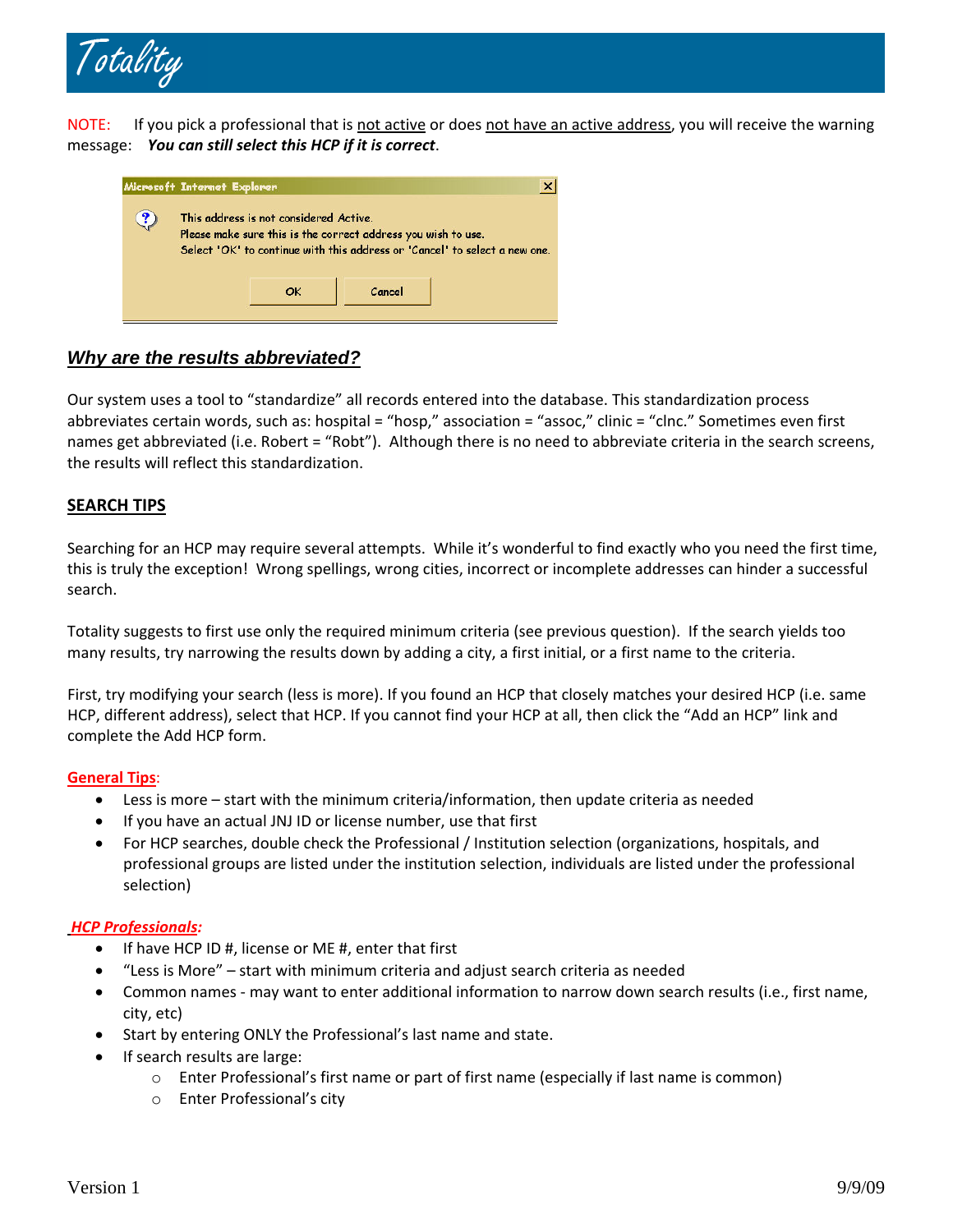

NOTE: If you pick a professional that is not active or does not have an active address, you will receive the warning message: *You can still select this HCP if it is correct*.

| Microsoft Internet Explorer |                                                                                                         |        | ×                                                                          |
|-----------------------------|---------------------------------------------------------------------------------------------------------|--------|----------------------------------------------------------------------------|
|                             | This address is not considered Active.<br>Please make sure this is the correct address you wish to use. |        | Select 'OK' to continue with this address or 'Cancel' to select a new one. |
|                             |                                                                                                         | Cancel |                                                                            |

# *Why are the results abbreviated?*

Our system uses a tool to "standardize" all records entered into the database. This standardization process abbreviates certain words, such as: hospital = "hosp," association = "assoc," clinic = "clnc." Sometimes even first names get abbreviated (i.e. Robert = "Robt"). Although there is no need to abbreviate criteria in the search screens, the results will reflect this standardization.

# **SEARCH TIPS**

Searching for an HCP may require several attempts. While it's wonderful to find exactly who you need the first time, this is truly the exception! Wrong spellings, wrong cities, incorrect or incomplete addresses can hinder a successful search.

Totality suggests to first use only the required minimum criteria (see previous question). If the search yields too many results, try narrowing the results down by adding a city, a first initial, or a first name to the criteria.

First, try modifying your search (less is more). If you found an HCP that closely matches your desired HCP (i.e. same HCP, different address), select that HCP. If you cannot find your HCP at all, then click the "Add an HCP" link and complete the Add HCP form.

# **General Tips**:

- Less is more start with the minimum criteria/information, then update criteria as needed
- If you have an actual JNJ ID or license number, use that first
- For HCP searches, double check the Professional / Institution selection (organizations, hospitals, and professional groups are listed under the institution selection, individuals are listed under the professional selection)

# *HCP Professionals:*

- If have HCP ID #, license or ME #, enter that first
- "Less is More" start with minimum criteria and adjust search criteria as needed
- Common names may want to enter additional information to narrow down search results (i.e., first name, city, etc)
- Start by entering ONLY the Professional's last name and state.
- If search results are large:
	- o Enter Professional's first name or part of first name (especially if last name is common)
	- o Enter Professional's city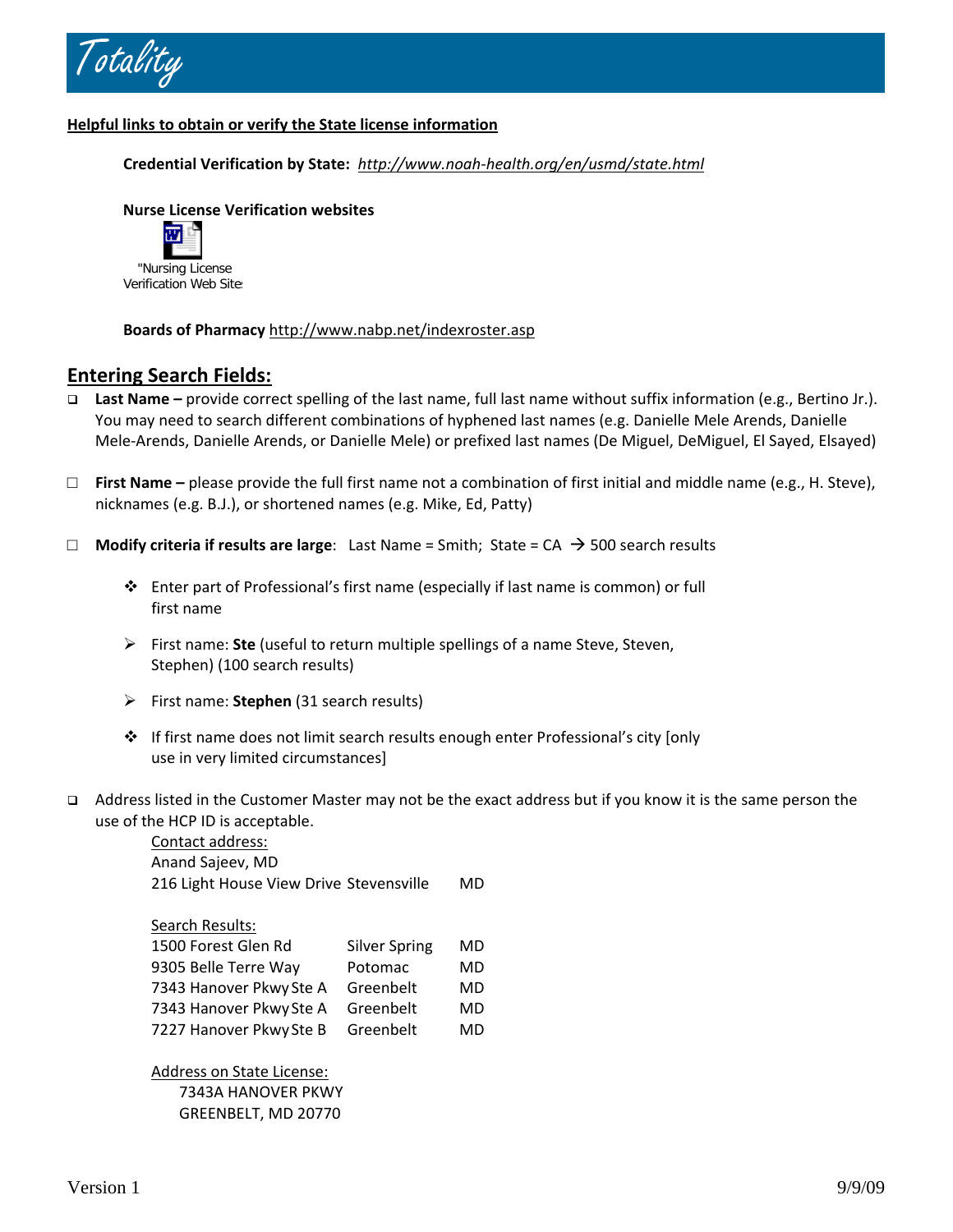

# **Helpful links to obtain or verify the State license information**

**Credential Verification by State:** *http://www.noah‐[health.org/en/usmd/state.html](http://www.noah-health.org/en/usmd/state.html)*

# **Nurse License Verification websites**



**Boards of Pharmacy** <http://www.nabp.net/indexroster.asp>

# **Entering Search Fields:**

- **Last Name –** provide correct spelling of the last name, full last name without suffix information (e.g., Bertino Jr.). You may need to search different combinations of hyphened last names (e.g. Danielle Mele Arends, Danielle Mele‐Arends, Danielle Arends, or Danielle Mele) or prefixed last names (De Miguel, DeMiguel, El Sayed, Elsayed)
- □ **First Name –** please provide the full first name not a combination of first initial and middle name (e.g., H. Steve), nicknames (e.g. B.J.), or shortened names (e.g. Mike, Ed, Patty)
- □ **Modify criteria if results are large**: Last Name = Smith; State = CA → 500 search results
	- Enter part of Professional's first name (especially if last name is common) or full first name
	- ¾ First name: **Ste** (useful to return multiple spellings of a name Steve, Steven, Stephen) (100 search results)
	- ¾ First name: **Stephen** (31 search results)
	- $\cdot \cdot$  If first name does not limit search results enough enter Professional's city [only use in very limited circumstances]
- Address listed in the Customer Master may not be the exact address but if you know it is the same person the use of the HCP ID is acceptable.

Contact address: Anand Sajeev, MD 216 Light House View Drive Stevensville MD Search Results:

| 1500 Forest Glen Rd     | <b>Silver Spring</b> | MD |
|-------------------------|----------------------|----|
| 9305 Belle Terre Way    | Potomac              | MD |
| 7343 Hanover Pkwy Ste A | Greenbelt            | MD |
| 7343 Hanover Pkwy Ste A | Greenbelt            | MD |
| 7227 Hanover Pkwy Ste B | Greenbelt            | MD |

Address on State License: 7343A HANOVER PKWY GREENBELT, MD 20770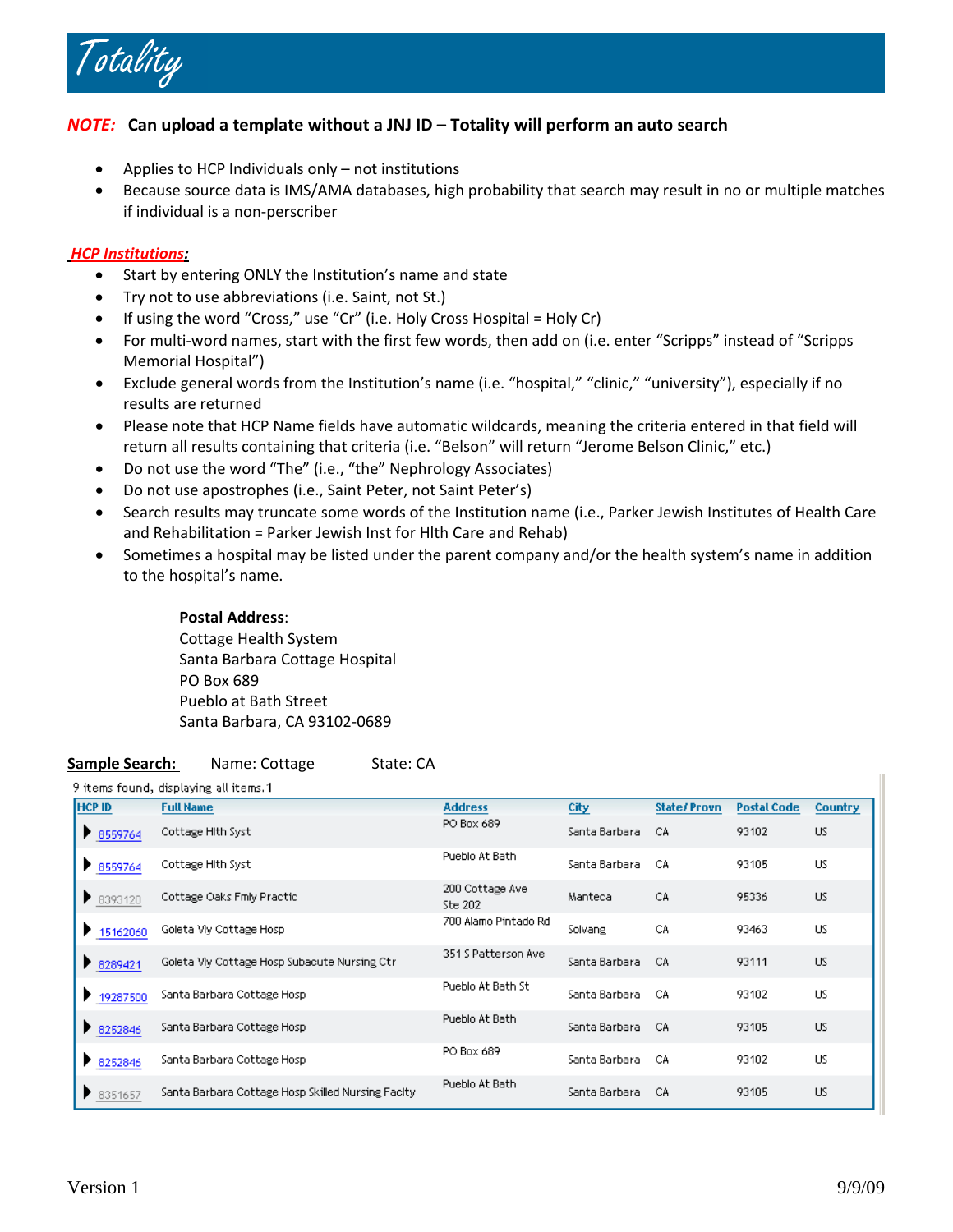

# *NOTE:* **Can upload a template without a JNJ ID – Totality will perform an auto search**

- Applies to HCP Individuals only not institutions
- Because source data is IMS/AMA databases, high probability that search may result in no or multiple matches if individual is a non‐perscriber

### *HCP Institutions:*

- Start by entering ONLY the Institution's name and state
- Try not to use abbreviations (i.e. Saint, not St.)
- If using the word "Cross," use "Cr" (i.e. Holy Cross Hospital = Holy Cr)
- For multi‐word names, start with the first few words, then add on (i.e. enter "Scripps" instead of "Scripps Memorial Hospital")
- Exclude general words from the Institution's name (i.e. "hospital," "clinic," "university"), especially if no results are returned
- Please note that HCP Name fields have automatic wildcards, meaning the criteria entered in that field will return all results containing that criteria (i.e. "Belson" will return "Jerome Belson Clinic," etc.)
- Do not use the word "The" (i.e., "the" Nephrology Associates)
- Do not use apostrophes (i.e., Saint Peter, not Saint Peter's)
- Search results may truncate some words of the Institution name (i.e., Parker Jewish Institutes of Health Care and Rehabilitation = Parker Jewish Inst for Hlth Care and Rehab)
- Sometimes a hospital may be listed under the parent company and/or the health system's name in addition to the hospital's name.

#### **Postal Address**:

Cottage Health System Santa Barbara Cottage Hospital PO Box 689 Pueblo at Bath Street Santa Barbara, CA 93102‐0689

#### **Sample Search:** Name: Cottage State: CA

#### 9 items found, displaying all items. 1

| <b>HCP ID</b> | <b>Full Name</b>                                  | <b>Address</b>             | City            | <b>State/Provn</b> | <b>Postal Code</b> | <b>Country</b> |
|---------------|---------------------------------------------------|----------------------------|-----------------|--------------------|--------------------|----------------|
| ₹ 8559764     | Cottage Hith Syst                                 | PO Box 689                 | Santa Barbara   | CA.                | 93102              | US.            |
| ₹ 8559764     | Cottage Hith Syst                                 | Pueblo At Bath             | Santa Barbara   | -CA                | 93105              | US             |
| 8393120       | Cottage Oaks Fmly Practic                         | 200 Cottage Ave<br>Ste 202 | Manteca         | CA                 | 95336              | US.            |
| ₹ 15162060    | Goleta My Cottage Hosp                            | 700 Alamo Pintado Rd       | Solvang         | CA                 | 93463              | US.            |
| ₹ 8289421     | Goleta My Cottage Hosp Subacute Nursing Ctr       | 351 S Patterson Ave        | Santa Barbara   | CA                 | 93111              | US.            |
| 19287500      | Santa Barbara Cottage Hosp                        | Pueblo At Bath St          | Santa Barbara I | CA.                | 93102              | US.            |
| 8252846       | Santa Barbara Cottage Hosp                        | Pueblo At Bath             | Santa Barbara.  | CA.                | 93105              | US.            |
| ₹ 8252846     | Santa Barbara Cottage Hosp                        | PO Box 689                 | Santa Barbara   | -CA                | 93102              | US.            |
| ₹ 8351657     | Santa Barbara Cottage Hosp Skilled Nursing Facity | Pueblo At Bath             | Santa Barbara   | СA                 | 93105              | US.            |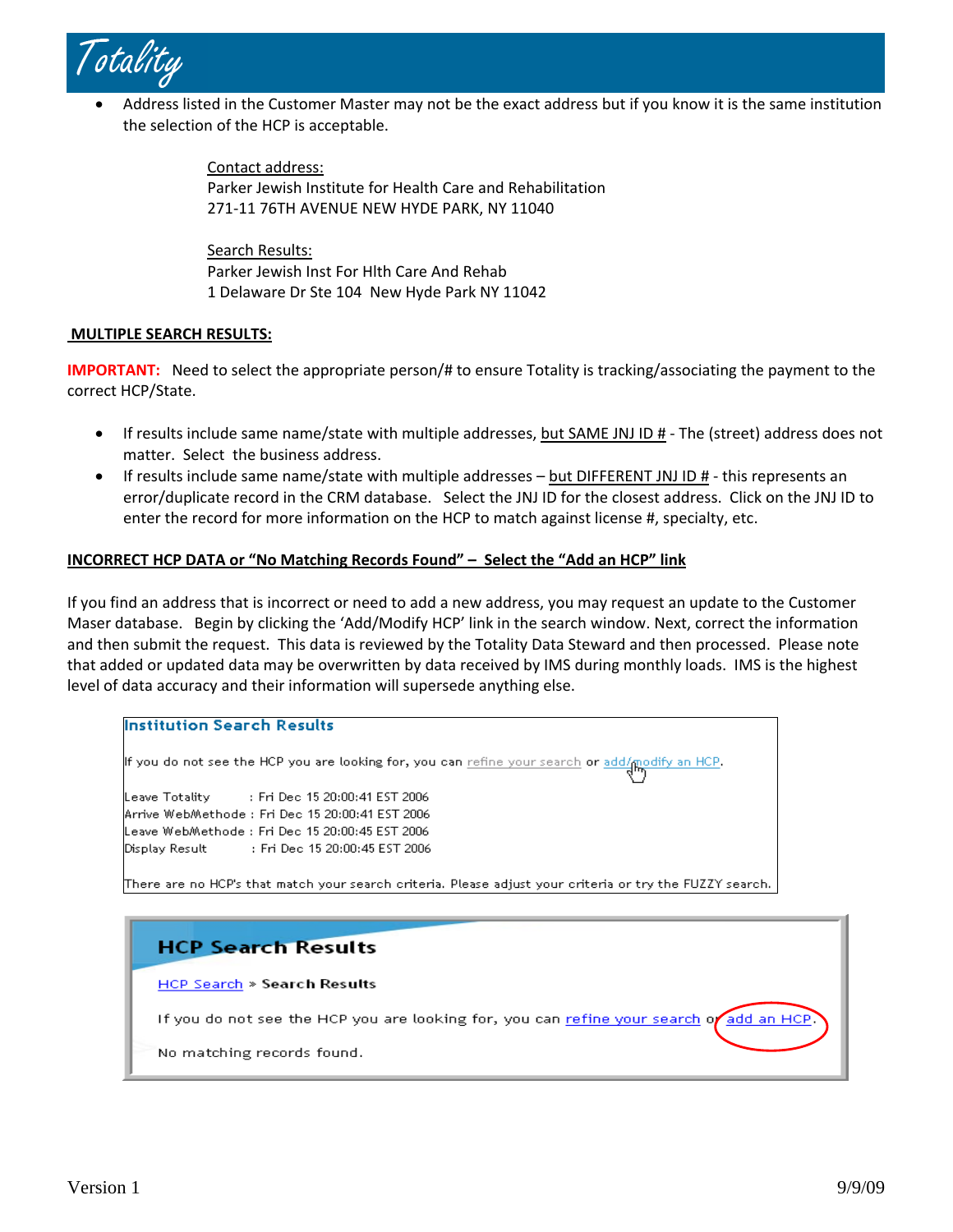

• Address listed in the Customer Master may not be the exact address but if you know it is the same institution the selection of the HCP is acceptable.

> Contact address: Parker Jewish Institute for Health Care and Rehabilitation 271‐11 76TH AVENUE NEW HYDE PARK, NY 11040

Search Results: Parker Jewish Inst For Hlth Care And Rehab 1 Delaware Dr Ste 104 New Hyde Park NY 11042

### **MULTIPLE SEARCH RESULTS:**

**IMPORTANT:** Need to select the appropriate person/# to ensure Totality is tracking/associating the payment to the correct HCP/State.

- If results include same name/state with multiple addresses, but SAME JNJ ID # The (street) address does not matter. Select the business address.
- If results include same name/state with multiple addresses but DIFFERENT JNJ ID # this represents an error/duplicate record in the CRM database. Select the JNJ ID for the closest address. Click on the JNJ ID to enter the record for more information on the HCP to match against license #, specialty, etc.

# **INCORRECT HCP DATA or "No Matching Records Found" – Select the "Add an HCP" link**

If you find an address that is incorrect or need to add a new address, you may request an update to the Customer Maser database. Begin by clicking the 'Add/Modify HCP' link in the search window. Next, correct the information and then submit the request. This data is reviewed by the Totality Data Steward and then processed. Please note that added or updated data may be overwritten by data received by IMS during monthly loads. IMS is the highest level of data accuracy and their information will supersede anything else.

#### **Institution Search Results**

```
If you do not see the HCP you are looking for, you can refine your search or add/modify an HCP.
Leave Totality
                   : Fri Dec 15 20:00:41 EST 2006
Arrive WebMethode: Fri Dec 15 20:00:41 EST 2006
Leave WebMethode: Fri Dec 15 20:00:45 EST 2006
Display Result
               Fri Dec 15 20:00:45 EST 2006:
```
There are no HCP's that match your search criteria. Please adjust your criteria or try the FUZZY search.

# **HCP Search Results**

**HCP Search > Search Results** 

If you do not see the HCP you are looking for, you can refine your search of add an HCP

No matching records found.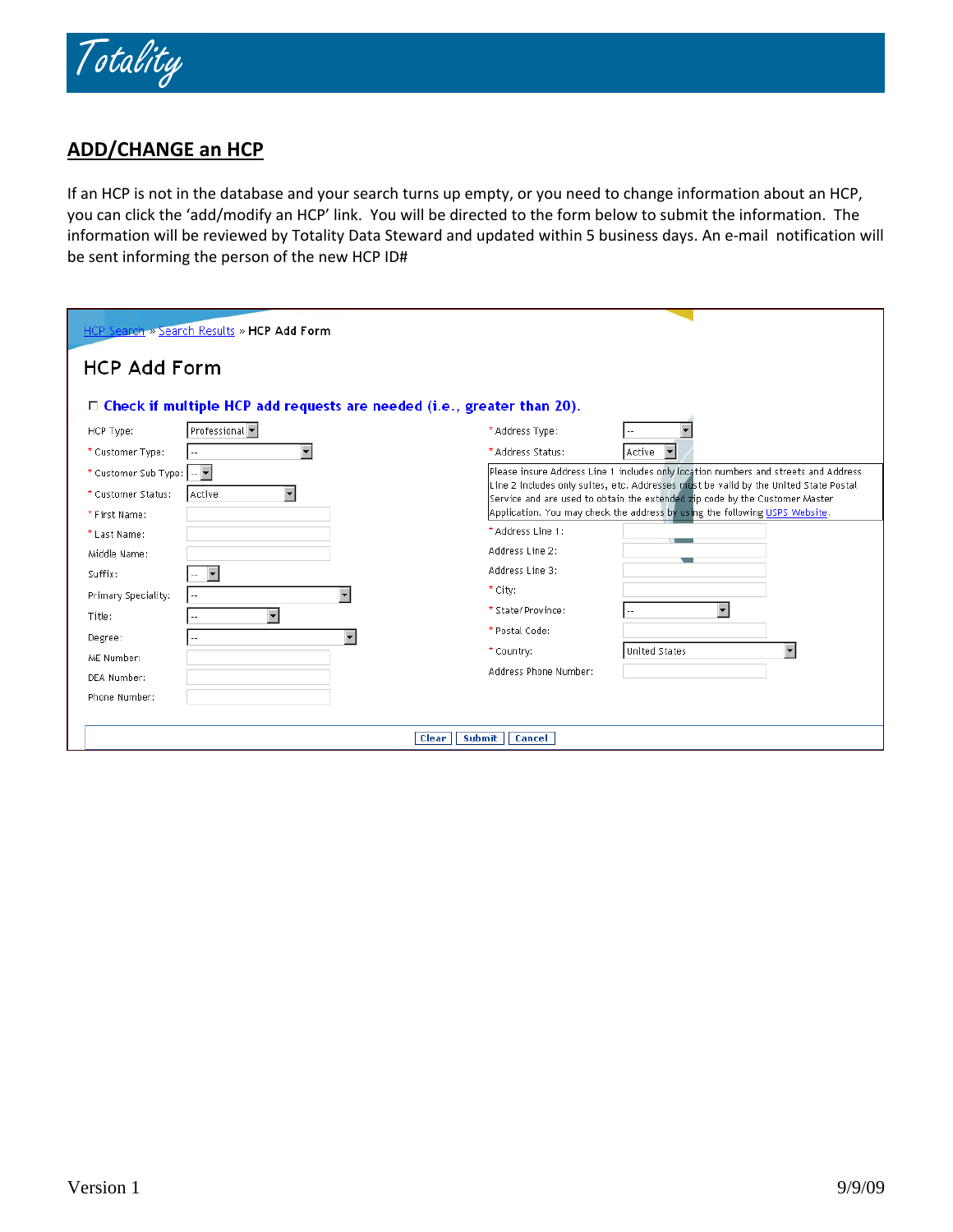

# **ADD/CHANGE an HCP**

If an HCP is not in the database and your search turns up empty, or you need to change information about an HCP, you can click the 'add/modify an HCP' link. You will be directed to the form below to submit the information. The information will be reviewed by Totality Data Steward and updated within 5 business days. An e‐mail notification will be sent informing the person of the new HCP ID#

| HCP Search » Search Results » HCP Add Form                                    |                                                                                                                                                                     |  |  |  |  |  |  |
|-------------------------------------------------------------------------------|---------------------------------------------------------------------------------------------------------------------------------------------------------------------|--|--|--|--|--|--|
| <b>HCP Add Form</b>                                                           |                                                                                                                                                                     |  |  |  |  |  |  |
| $\Box$ Check if multiple HCP add requests are needed (i.e., greater than 20). |                                                                                                                                                                     |  |  |  |  |  |  |
| Professional -<br>HCP Type:                                                   | * Address Type:                                                                                                                                                     |  |  |  |  |  |  |
| * Customer Type:                                                              | Active<br>▼<br>* Address Status:                                                                                                                                    |  |  |  |  |  |  |
| * Customer Sub Type:  --   *                                                  | Please insure Address Line 1 includes only location numbers and streets and Address                                                                                 |  |  |  |  |  |  |
| * Customer Status:<br>Active                                                  | Line 2 includes only suites, etc. Addresses must be valid by the United State Postal<br>Service and are used to obtain the extended zip code by the Customer Master |  |  |  |  |  |  |
| * First Name:                                                                 | Application. You may check the address by using the following USPS Website.                                                                                         |  |  |  |  |  |  |
| * Last Name:                                                                  | * Address Line 1:                                                                                                                                                   |  |  |  |  |  |  |
| Middle Name:                                                                  | Address Line 2:                                                                                                                                                     |  |  |  |  |  |  |
| $\blacktriangledown$<br>Suffix:<br>$\overline{\phantom{a}}$                   | Address Line 3:                                                                                                                                                     |  |  |  |  |  |  |
| Primary Speciality:                                                           | * City:                                                                                                                                                             |  |  |  |  |  |  |
| $\overline{\phantom{0}}$<br>Title:                                            | ÷<br>* State/Province:<br>$\overline{\phantom{a}}$ .                                                                                                                |  |  |  |  |  |  |
| Degree:                                                                       | * Postal Code:                                                                                                                                                      |  |  |  |  |  |  |
| ME Number:                                                                    | <b>United States</b><br>* Country:                                                                                                                                  |  |  |  |  |  |  |
| DEA Number:                                                                   | Address Phone Number:                                                                                                                                               |  |  |  |  |  |  |
| Phone Number:                                                                 |                                                                                                                                                                     |  |  |  |  |  |  |
|                                                                               |                                                                                                                                                                     |  |  |  |  |  |  |
| Clear                                                                         | Submit<br>Cancel                                                                                                                                                    |  |  |  |  |  |  |
|                                                                               |                                                                                                                                                                     |  |  |  |  |  |  |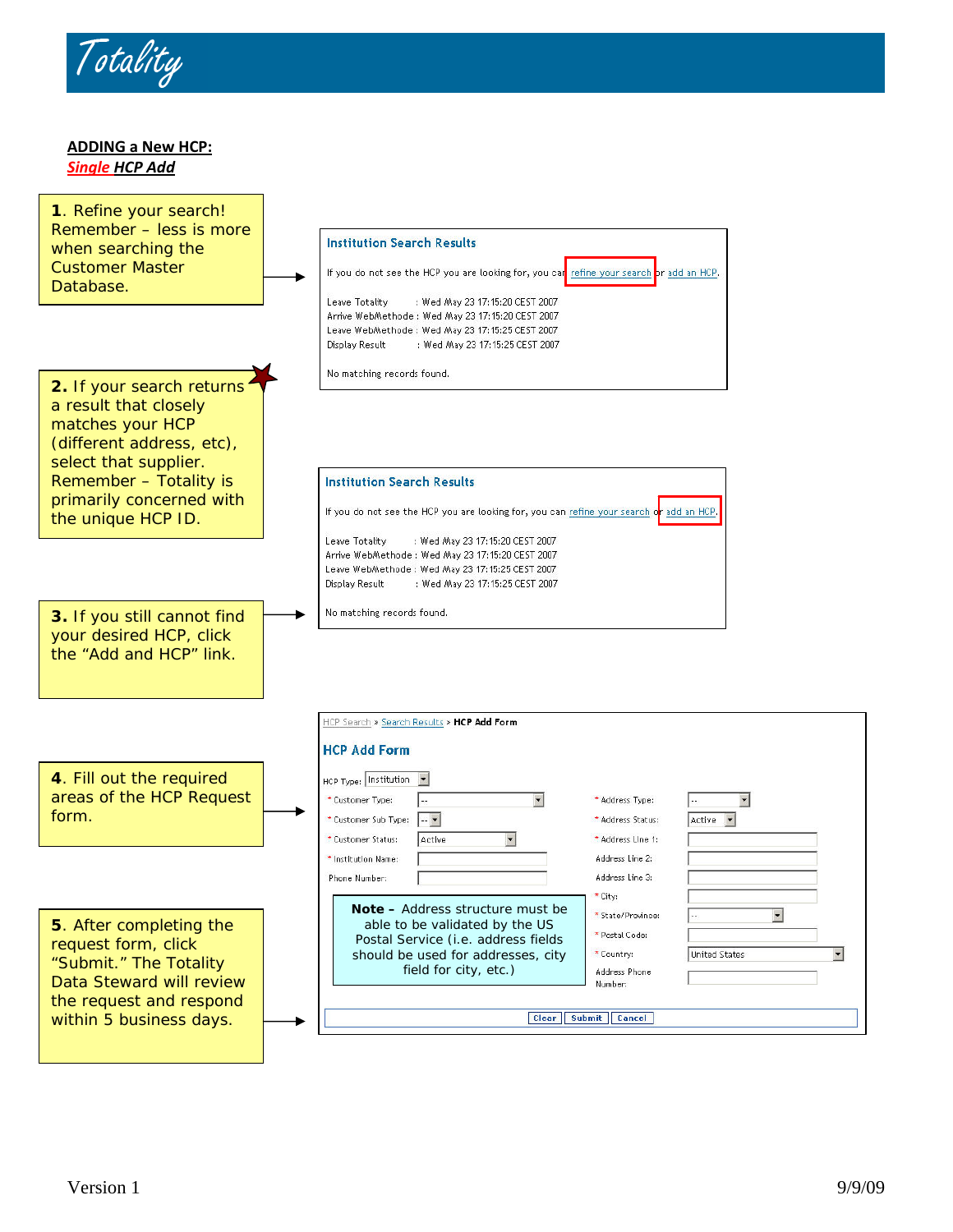

**ADDING a New HCP:** *Single HCP Add*

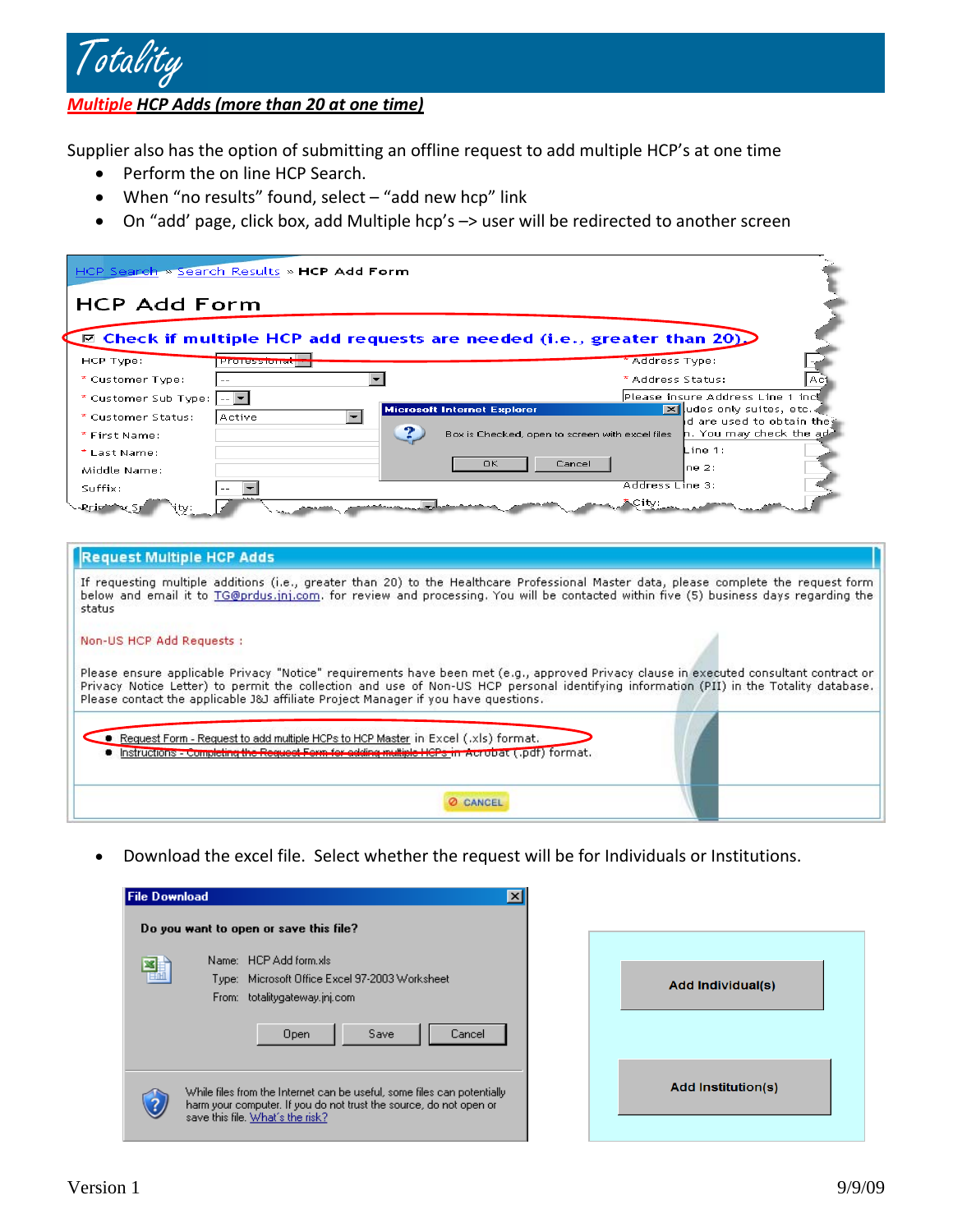

*Multiple HCP Adds (more than 20 at one time)*

Supplier also has the option of submitting an offline request to add multiple HCP's at one time

- Perform the on line HCP Search.
- When "no results" found, select "add new hcp" link
- On "add' page, click box, add Multiple hcp's -> user will be redirected to another screen

| HCP Search » Search Results » HCP Add Form                                                                                                                                                                                                                                                                                                                             |                                                                                        |  |
|------------------------------------------------------------------------------------------------------------------------------------------------------------------------------------------------------------------------------------------------------------------------------------------------------------------------------------------------------------------------|----------------------------------------------------------------------------------------|--|
|                                                                                                                                                                                                                                                                                                                                                                        |                                                                                        |  |
| <b>HCP Add Form</b>                                                                                                                                                                                                                                                                                                                                                    |                                                                                        |  |
| $\boxdot$ Check if multiple HCP add requests are needed (i.e., greater than 20)                                                                                                                                                                                                                                                                                        |                                                                                        |  |
| HCP Type:<br><b>Professions</b>                                                                                                                                                                                                                                                                                                                                        | Address Type:                                                                          |  |
| $\overline{\phantom{0}}$<br>* Customer Type:                                                                                                                                                                                                                                                                                                                           | * Address Status:                                                                      |  |
| * Customer Sub Type: $\left\  \cdot \right\ $ =                                                                                                                                                                                                                                                                                                                        | Please insure Address Line 1 incl                                                      |  |
| <b>Microsoft Internet Explorer</b><br>* Customer Status:<br>Active                                                                                                                                                                                                                                                                                                     | <b>X</b> udes only suites, etc.<br>d are used to obtain the:                           |  |
| * First Name:                                                                                                                                                                                                                                                                                                                                                          | $\mathsf{h}.$ You may check the ad-<br>Box is Checked, open to screen with excel files |  |
| * Last Name:                                                                                                                                                                                                                                                                                                                                                           | ine 1:                                                                                 |  |
| <b>OK</b><br>Middle Name:                                                                                                                                                                                                                                                                                                                                              | Cancel<br>ne 2:                                                                        |  |
| Suffix:                                                                                                                                                                                                                                                                                                                                                                | Address Line 3:                                                                        |  |
| <b>Request Multiple HCP Adds</b><br>If requesting multiple additions (i.e., greater than 20) to the Healthcare Professional Master data, please complete the request form<br>below and email it to TG@prdus.jnj.com, for review and processing, You will be contacted within five (5) business days regarding the<br>status                                            |                                                                                        |  |
| Non-US HCP Add Requests :                                                                                                                                                                                                                                                                                                                                              |                                                                                        |  |
| Please ensure applicable Privacy "Notice" requirements have been met (e.g., approved Privacy clause in executed consultant contract or<br>Privacy Notice Letter) to permit the collection and use of Non-US HCP personal identifying information (PII) in the Totality database.<br>Please contact the applicable J&J affiliate Project Manager if you have questions. |                                                                                        |  |
| $\bullet$ Request Form - Request to add multiple HCPs to HCP Master in Excel (,xls) format.<br>Instructions - Completing the Request Form for adding multiple HCPs in Acrobat (.pdf) format.                                                                                                                                                                           |                                                                                        |  |
| <b>O CANCEL</b>                                                                                                                                                                                                                                                                                                                                                        |                                                                                        |  |

• Download the excel file. Select whether the request will be for Individuals or Institutions.

| <b>File Download</b> |       |                                                                                                                                                                                   |  |
|----------------------|-------|-----------------------------------------------------------------------------------------------------------------------------------------------------------------------------------|--|
|                      |       | Do you want to open or save this file?                                                                                                                                            |  |
|                      | From: | Name: HCP Add form.xls<br>Type: Microsoft Office Excel 97-2003 Worksheet<br>totalitygateway.jnj.com                                                                               |  |
|                      |       | Cancel<br>Save<br>Open                                                                                                                                                            |  |
|                      |       | While files from the Internet can be useful, some files can potentially<br>harm your computer. If you do not trust the source, do not open or<br>save this file. What's the risk? |  |

| <b>Add Individual(s)</b>  |
|---------------------------|
|                           |
| <b>Add Institution(s)</b> |
|                           |